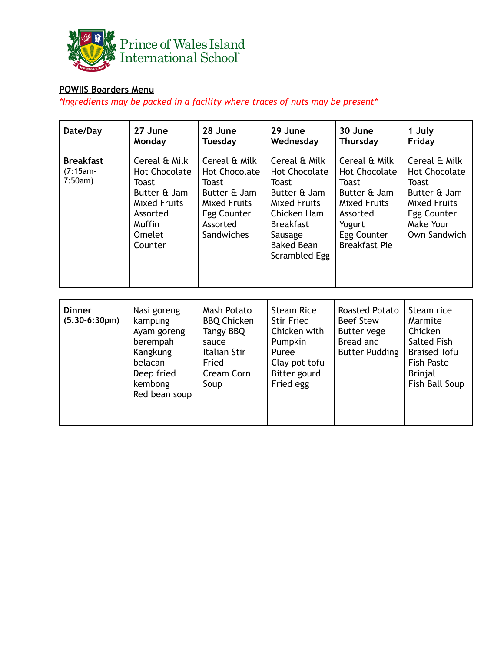

## **POWIIS Boarders Menu**

*\*Ingredients may be packed in a facility where traces of nuts may be present\**

| Date/Day                                   | 27 June<br>Monday                                                                                                                | 28 June<br><b>Tuesday</b>                                                                                                      | 29 June<br>Wednesday                                                                                                                                                      | 30 June<br><b>Thursday</b>                                                                                                                                | 1 July<br>Friday                                                                                                                  |
|--------------------------------------------|----------------------------------------------------------------------------------------------------------------------------------|--------------------------------------------------------------------------------------------------------------------------------|---------------------------------------------------------------------------------------------------------------------------------------------------------------------------|-----------------------------------------------------------------------------------------------------------------------------------------------------------|-----------------------------------------------------------------------------------------------------------------------------------|
| <b>Breakfast</b><br>$(7:15am -$<br>7:50am) | Cereal & Milk<br><b>Hot Chocolate</b><br>Toast<br>Butter & Jam<br><b>Mixed Fruits</b><br>Assorted<br>Muffin<br>Omelet<br>Counter | Cereal & Milk<br><b>Hot Chocolate</b><br>Toast<br>Butter & Jam<br><b>Mixed Fruits</b><br>Egg Counter<br>Assorted<br>Sandwiches | Cereal & Milk<br><b>Hot Chocolate</b><br><b>Toast</b><br>Butter & Jam<br>Mixed Fruits<br>Chicken Ham<br><b>Breakfast</b><br>Sausage<br><b>Baked Bean</b><br>Scrambled Egg | Cereal & Milk<br><b>Hot Chocolate</b><br><b>Toast</b><br>Butter & Jam<br><b>Mixed Fruits</b><br>Assorted<br>Yogurt<br>Egg Counter<br><b>Breakfast Pie</b> | Cereal & Milk<br><b>Hot Chocolate</b><br>Toast<br>Butter & Jam<br><b>Mixed Fruits</b><br>Egg Counter<br>Make Your<br>Own Sandwich |
| <b>Dinner</b><br>$(5.30-6:30pm)$           | Nasi goreng<br>kampung<br>Ayam goreng<br>berempah<br>Kangkung<br>belacan<br>Deep fried<br>kembong<br>Red bean soup               | Mash Potato<br><b>BBQ Chicken</b><br>Tangy BBQ<br>sauce<br>Italian Stir<br>Fried<br>Cream Corn<br>Soup                         | <b>Steam Rice</b><br><b>Stir Fried</b><br>Chicken with<br>Pumpkin<br>Puree<br>Clay pot tofu<br>Bitter gourd<br>Fried egg                                                  | Roasted Potato<br><b>Beef Stew</b><br>Butter vege<br>Bread and<br><b>Butter Pudding</b>                                                                   | Steam rice<br>Marmite<br>Chicken<br>Salted Fish<br><b>Braised Tofu</b><br><b>Fish Paste</b><br>Brinjal<br>Fish Ball Soup          |